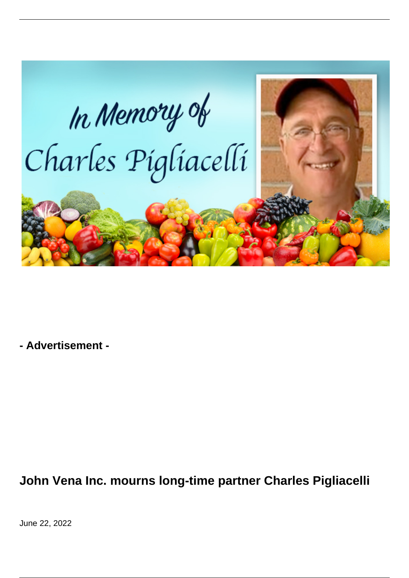

**- Advertisement -**

## **John Vena Inc. mourns long-time partner Charles Pigliacelli**

June 22, 2022